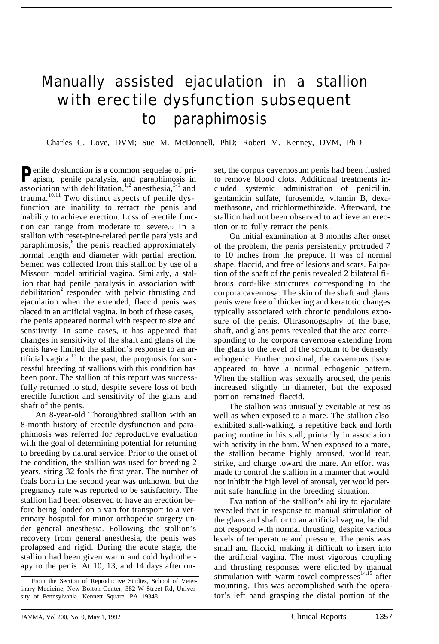## Manually assisted ejaculation in a stallion with erectile dysfunction subsequent to paraphimosis

Charles C. Love, DVM; Sue M. McDonnell, PhD; Robert M. Kenney, DVM, PhD

**P**enile dysfunction is a common sequelae of pri-<br>anism penile paralyzed apism, penile paralysis, and paraphimosis in association with debilitation,<sup>1,2</sup> anesthesia,<sup>3-9</sup> and trauma.<sup>10,11</sup> Two distinct aspects of penile dysfunction are inability to retract the penis and inability to achieve erection. Loss of erectile function can range from moderate to severe.12 In a stallion with reset-pine-related penile paralysis and paraphimosis,<sup>6</sup> the penis reached approximately normal length and diameter with partial erection. Semen was collected from this stallion by use of a Missouri model artificial vagina. Similarly, a stallion that had penile paralysis in association with debilitation<sup>2</sup> responded with pelvic thrusting and ejaculation when the extended, flaccid penis was placed in an artificial vagina. In both of these cases, the penis appeared normal with respect to size and sensitivity. In some cases, it has appeared that changes in sensitivity of the shaft and glans of the penis have limited the stallion's response to an artificial vagina. $^{13}$  In the past, the prognosis for successful breeding of stallions with this condition has been poor. The stallion of this report was successfully returned to stud, despite severe loss of both erectile function and sensitivity of the glans and shaft of the penis.

An 8-year-old Thoroughbred stallion with an 8-month history of erectile dysfunction and paraphimosis was referred for reproductive evaluation with the goal of determining potential for returning to breeding by natural service. Prior to the onset of the condition, the stallion was used for breeding 2 years, siring 32 foals the first year. The number of foals born in the second year was unknown, but the pregnancy rate was reported to be satisfactory. The stallion had been observed to have an erection before being loaded on a van for transport to a veterinary hospital for minor orthopedic surgery under general anesthesia. Following the stallion's recovery from general anesthesia, the penis was prolapsed and rigid. During the acute stage, the stallion had been given warm and cold hydrotherapy to the penis. At 10, 13, and 14 days after onset, the corpus cavernosum penis had been flushed to remove blood clots. Additional treatments included systemic administration of penicillin, gentamicin sulfate, furosemide, vitamin B, dexamethasone, and trichlormethiazide. Afterward, the stallion had not been observed to achieve an erection or to fully retract the penis.

On initial examination at 8 months after onset of the problem, the penis persistently protruded 7 to 10 inches from the prepuce. It was of normal shape, flaccid, and free of lesions and scars. Palpation of the shaft of the penis revealed 2 bilateral fibrous cord-like structures corresponding to the corpora cavernosa. The skin of the shaft and glans penis were free of thickening and keratotic changes typically associated with chronic pendulous exposure of the penis. Ultrasonogsaphy of the base, shaft, and glans penis revealed that the area corresponding to the corpora cavernosa extending from the glans to the level of the scrotum to be densely echogenic. Further proximal, the cavernous tissue appeared to have a normal echogenic pattern. When the stallion was sexually aroused, the penis increased slightly in diameter, but the exposed portion remained flaccid.

The stallion was unusually excitable at rest as well as when exposed to a mare. The stallion also exhibited stall-walking, a repetitive back and forth pacing routine in his stall, primarily in association with activity in the barn. When exposed to a mare, the stallion became highly aroused, would rear, strike, and charge toward the mare. An effort was made to control the stallion in a manner that would not inhibit the high level of arousal, yet would permit safe handling in the breeding situation.

Evaluation of the stallion's ability to ejaculate revealed that in response to manual stimulation of the glans and shaft or to an artificial vagina, he did not respond with normal thrusting, despite various levels of temperature and pressure. The penis was small and flaccid, making it difficult to insert into the artificial vagina. The most vigorous coupling and thrusting responses were elicited by manual stimulation with warm towel compresses $14,15$  after mounting. This was accomplished with the operator's left hand grasping the distal portion of the

From the Section of Reproductive Studies, School of Veterinary Medicine, New Bolton Center, 382 W Street Rd, University of Pennsylvania, Kennett Square, PA 19348.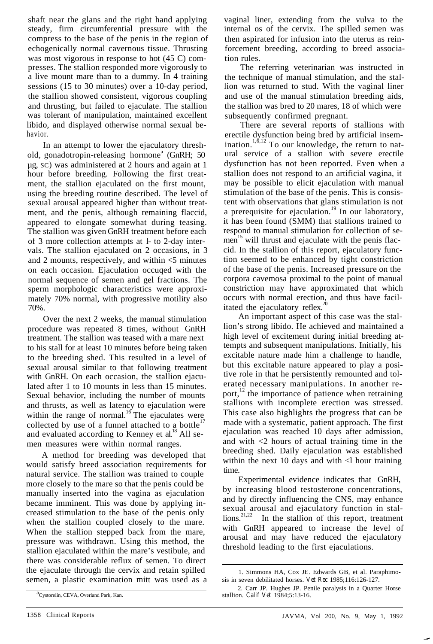shaft near the glans and the right hand applying steady, firm circumferential pressure with the compress to the base of the penis in the region of echogenically normal cavernous tissue. Thrusting was most vigorous in response to hot  $(45 \text{ C})$  compresses. The stallion responded more vigorously to a live mount mare than to a dummy. In 4 training sessions (15 to 30 minutes) over a 10-day period, the stallion showed consistent, vigorous coupling and thrusting, but failed to ejaculate. The stallion was tolerant of manipulation, maintained excellent libido, and displayed otherwise normal sexual behavior.

In an attempt to lower the ejaculatory threshold, gonadotropin-releasing hormone<sup>a</sup> (GnRH; 50) µg, SC) was administered at 2 hours and again at 1 hour before breeding. Following the first treatment, the stallion ejaculated on the first mount, using the breeding routine described. The level of sexual arousal appeared higher than without treatment, and the penis, although remaining flaccid, appeared to elongate somewhat during teasing. The stallion was given GnRH treatment before each of 3 more collection attempts at l- to 2-day intervals. The stallion ejaculated on 2 occasions, in 3 and 2 mounts, respectively, and within <5 minutes on each occasion. Ejaculation occuqed with the normal sequence of semen and gel fractions. The sperm morphologic characteristics were approximately 70% normal, with progressive motility also 70%.

Over the next 2 weeks, the manual stimulation procedure was repeated 8 times, without GnRH treatment. The stallion was teased with a mare next to his stall for at least 10 minutes before being taken to the breeding shed. This resulted in a level of sexual arousal similar to that following treatment with GnRH. On each occasion, the stallion ejaculated after 1 to 10 mounts in less than 15 minutes. Sexual behavior, including the number of mounts and thrusts, as well as latency to ejaculation were within the range of normal.<sup>16</sup> The ejaculates were collected by use of a funnel attached to a bottle $17$ and evaluated according to Kenney et al.<sup>18</sup> All semen measures were within normal ranges.

A method for breeding was developed that would satisfy breed association requirements for natural service. The stallion was trained to couple more closely to the mare so that the penis could be manually inserted into the vagina as ejaculation became imminent. This was done by applying increased stimulation to the base of the penis only when the stallion coupled closely to the mare. When the stallion stepped back from the mare, pressure was withdrawn. Using this method, the stallion ejaculated within the mare's vestibule, and there was considerable reflux of semen. To direct the ejaculate through the cervix and retain spilled semen, a plastic examination mitt was used as a vaginal liner, extending from the vulva to the internal os of the cervix. The spilled semen was then aspirated for infusion into the uterus as reinforcement breeding, according to breed association rules.

The referring veterinarian was instructed in the technique of manual stimulation, and the stallion was returned to stud. With the vaginal liner and use of the manual stimulation breeding aids, the stallion was bred to 20 mares, 18 of which were subsequently confirmed pregnant.

There are several reports of stallions with erectile dysfunction being bred by artificial insemination.<sup>1,6,12</sup> To our knowledge, the return to natural service of a stallion with severe erectile dysfunction has not been reported. Even when a stallion does not respond to an artificial vagina, it may be possible to elicit ejaculation with manual stimulation of the base of the penis. This is consistent with observations that glans stimulation is not a prerequisite for ejaculation.<sup>19</sup> In our laboratory, it has been found (SMM) that stallions trained to respond to manual stimulation for collection of semen<sup>15</sup> will thrust and ejaculate with the penis flaccid. In the stallion of this report, ejaculatory function seemed to be enhanced by tight constriction of the base of the penis. Increased pressure on the corpora cavemosa proximal to the point of manual constriction may have approximated that which occurs with normal erection, and thus have facilitated the ejaculatory reflex. $^{20}$ 

An important aspect of this case was the stallion's strong libido. He achieved and maintained a high level of excitement during initial breeding attempts and subsequent manipulations. Initially, his excitable nature made him a challenge to handle, but this excitable nature appeared to play a positive role in that he persistently remounted and tolerated necessary manipulations. In another report, $^{12}$  the importance of patience when retraining stallions with incomplete erection was stressed. This case also highlights the progress that can be made with a systematic, patient approach. The first ejaculation was reached 10 days after admission, and with  $\langle 2 \rangle$  hours of actual training time in the breeding shed. Daily ejaculation was established within the next 10 days and with  $\langle$ l hour training time.

Experimental evidence indicates that GnRH, by increasing blood testosterone concentrations, and by directly influencing the CNS, may enhance sexual arousal and ejaculatory function in stal- $\lim_{n \to \infty} \frac{2^{n}}{2^{n}}$  In the stallion of this report, treatment with GnRH appeared to increase the level of arousal and may have reduced the ejaculatory threshold leading to the first ejaculations.

<sup>1.</sup> Simmons HA, Cox JE. Edwards GB, et al. Paraphimosis in seven debilitated horses. *Vet Rec* 1985;116:126-127.

<sup>2.</sup> Carr JP. Hughes JP. Penile paralysis in a Quarter Horse stallion. *Calif Vet* 1984;5:13-16.

a<br>Cystorelin, CEVA, Overland Park, Kan.